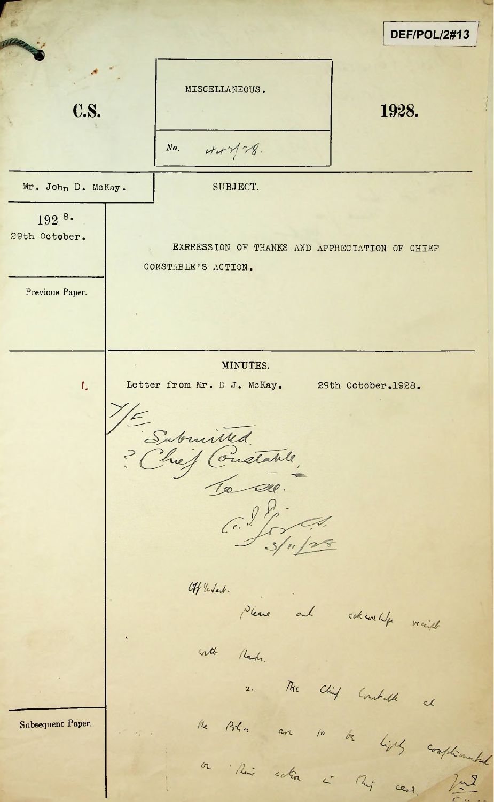*DEF/POL/2#13* MISCELLANEOUS. **c.s.** 1928.  $447/28$ *No.* Mr. John D. McKay. | SUBJECT.  $192^{8}$ 29th October. EXRRESSION OF THANKS AND APPRECIATION OF CHIEF CONSTABLE'S ACTION. Previous Paper. MINUTES. I. Letter from Mr. D J. McKay. 29th October.1928. Sabuilled.  $C.\frac{98}{566}$ Off 'le Sart. **/>/** / leave and scheol with Nach. 2. /ti<sub>t</sub>  $cc$ Subsequent Paper. **A<-,** *(°* or their cetion is this case. The  $\alpha$ .  $\beta$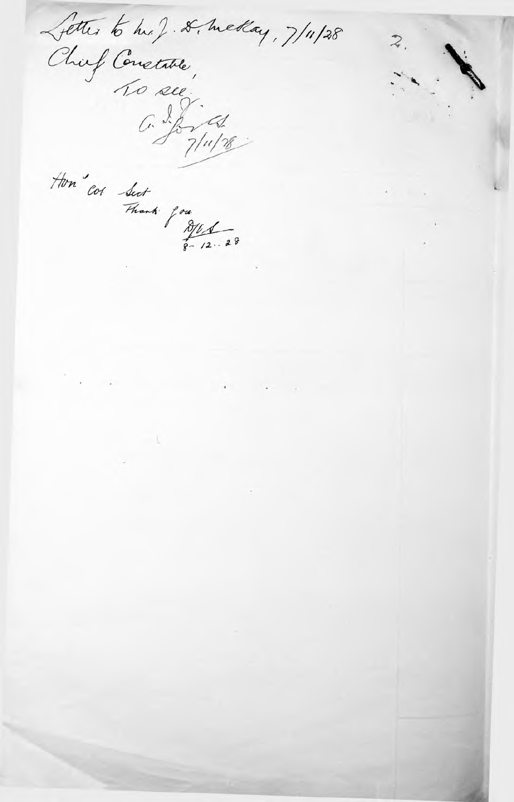Letter to his ). & meday, 7/11/28 Jenes a de Concetate  $\overline{\mathcal{Z}}$ Hon" cot Sect Thank you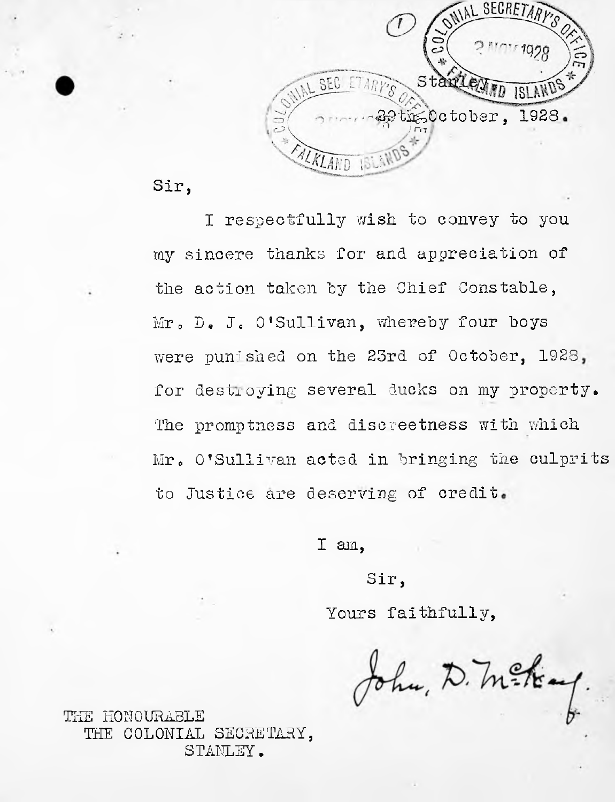

Sir,

I respectfully wish to convey to you my sincere thanks for and appreciation of the action taken by the Chief Constable, Mr. D. J. O'Sullivan, whereby four boys were punished on the 23rd of October, 1923 for destroving several ducks on my property. The promptness and discreetness with which Mr. O'Sullivan acted in bringing the culprits to Justice are deserving of credit.

I am,

Sir,

Yours faithfully,

John, D. M. Kay.

THE HONOURABLE THE COLONIAL SECRETARY, STANLEY.